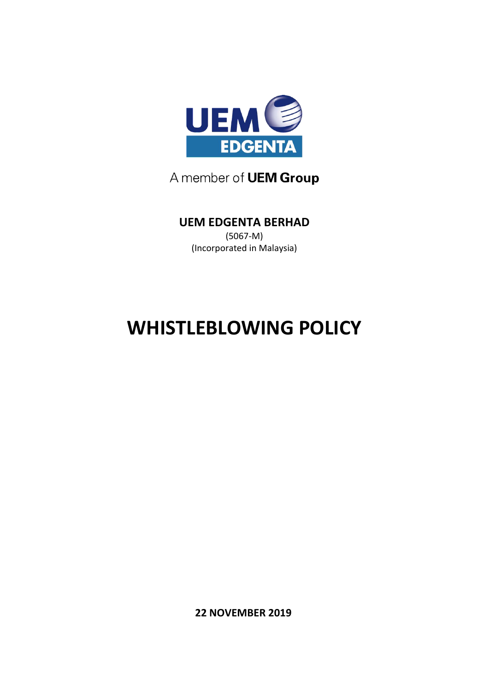

### A member of **UEM Group**

## **UEM EDGENTA BERHAD**

(5067-M) (Incorporated in Malaysia)

# **WHISTLEBLOWING POLICY**

**22 NOVEMBER 2019**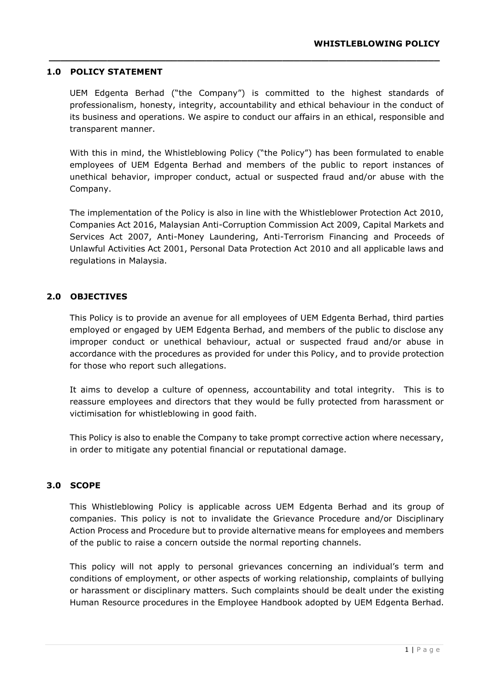#### **1.0 POLICY STATEMENT**

UEM Edgenta Berhad ("the Company") is committed to the highest standards of professionalism, honesty, integrity, accountability and ethical behaviour in the conduct of its business and operations. We aspire to conduct our affairs in an ethical, responsible and transparent manner.

**\_\_\_\_\_\_\_\_\_\_\_\_\_\_\_\_\_\_\_\_\_\_\_\_\_\_\_\_\_\_\_\_\_\_\_\_\_\_\_\_\_\_\_\_\_\_\_\_\_\_\_\_\_\_\_\_\_\_\_\_\_\_\_\_\_\_\_**

With this in mind, the Whistleblowing Policy ("the Policy") has been formulated to enable employees of UEM Edgenta Berhad and members of the public to report instances of unethical behavior, improper conduct, actual or suspected fraud and/or abuse with the Company.

The implementation of the Policy is also in line with the Whistleblower Protection Act 2010, Companies Act 2016, Malaysian Anti-Corruption Commission Act 2009, Capital Markets and Services Act 2007, Anti-Money Laundering, Anti-Terrorism Financing and Proceeds of Unlawful Activities Act 2001, Personal Data Protection Act 2010 and all applicable laws and regulations in Malaysia.

#### **2.0 OBJECTIVES**

This Policy is to provide an avenue for all employees of UEM Edgenta Berhad, third parties employed or engaged by UEM Edgenta Berhad, and members of the public to disclose any improper conduct or unethical behaviour, actual or suspected fraud and/or abuse in accordance with the procedures as provided for under this Policy, and to provide protection for those who report such allegations.

It aims to develop a culture of openness, accountability and total integrity. This is to reassure employees and directors that they would be fully protected from harassment or victimisation for whistleblowing in good faith.

This Policy is also to enable the Company to take prompt corrective action where necessary, in order to mitigate any potential financial or reputational damage.

#### **3.0 SCOPE**

This Whistleblowing Policy is applicable across UEM Edgenta Berhad and its group of companies. This policy is not to invalidate the Grievance Procedure and/or Disciplinary Action Process and Procedure but to provide alternative means for employees and members of the public to raise a concern outside the normal reporting channels.

This policy will not apply to personal grievances concerning an individual's term and conditions of employment, or other aspects of working relationship, complaints of bullying or harassment or disciplinary matters. Such complaints should be dealt under the existing Human Resource procedures in the Employee Handbook adopted by UEM Edgenta Berhad.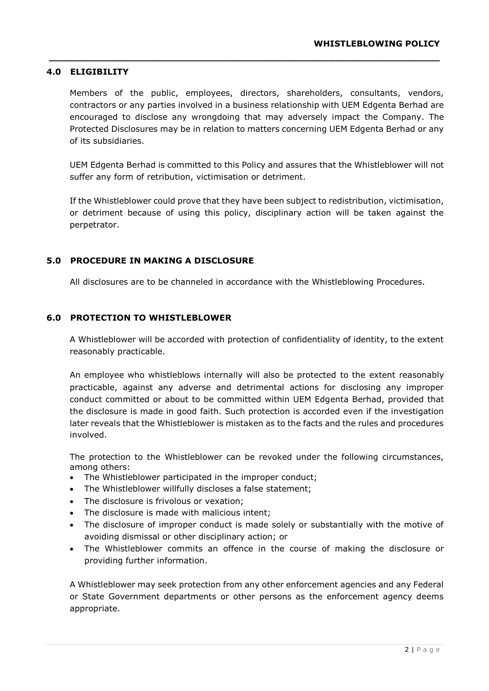#### **4.0 ELIGIBILITY**

Members of the public, employees, directors, shareholders, consultants, vendors, contractors or any parties involved in a business relationship with UEM Edgenta Berhad are encouraged to disclose any wrongdoing that may adversely impact the Company. The Protected Disclosures may be in relation to matters concerning UEM Edgenta Berhad or any of its subsidiaries.

**\_\_\_\_\_\_\_\_\_\_\_\_\_\_\_\_\_\_\_\_\_\_\_\_\_\_\_\_\_\_\_\_\_\_\_\_\_\_\_\_\_\_\_\_\_\_\_\_\_\_\_\_\_\_\_\_\_\_\_\_\_\_\_\_\_\_\_**

UEM Edgenta Berhad is committed to this Policy and assures that the Whistleblower will not suffer any form of retribution, victimisation or detriment.

If the Whistleblower could prove that they have been subject to redistribution, victimisation, or detriment because of using this policy, disciplinary action will be taken against the perpetrator.

#### **5.0 PROCEDURE IN MAKING A DISCLOSURE**

All disclosures are to be channeled in accordance with the Whistleblowing Procedures.

#### **6.0 PROTECTION TO WHISTLEBLOWER**

A Whistleblower will be accorded with protection of confidentiality of identity, to the extent reasonably practicable.

An employee who whistleblows internally will also be protected to the extent reasonably practicable, against any adverse and detrimental actions for disclosing any improper conduct committed or about to be committed within UEM Edgenta Berhad, provided that the disclosure is made in good faith. Such protection is accorded even if the investigation later reveals that the Whistleblower is mistaken as to the facts and the rules and procedures involved.

The protection to the Whistleblower can be revoked under the following circumstances, among others:

- The Whistleblower participated in the improper conduct;
- The Whistleblower willfully discloses a false statement;
- The disclosure is frivolous or vexation;
- The disclosure is made with malicious intent;
- The disclosure of improper conduct is made solely or substantially with the motive of avoiding dismissal or other disciplinary action; or
- The Whistleblower commits an offence in the course of making the disclosure or providing further information.

A Whistleblower may seek protection from any other enforcement agencies and any Federal or State Government departments or other persons as the enforcement agency deems appropriate.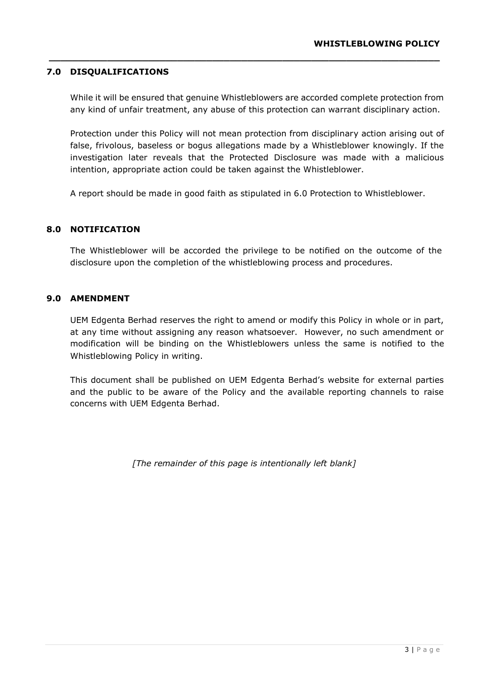#### **7.0 DISQUALIFICATIONS**

While it will be ensured that genuine Whistleblowers are accorded complete protection from any kind of unfair treatment, any abuse of this protection can warrant disciplinary action.

**\_\_\_\_\_\_\_\_\_\_\_\_\_\_\_\_\_\_\_\_\_\_\_\_\_\_\_\_\_\_\_\_\_\_\_\_\_\_\_\_\_\_\_\_\_\_\_\_\_\_\_\_\_\_\_\_\_\_\_\_\_\_\_\_\_\_\_**

Protection under this Policy will not mean protection from disciplinary action arising out of false, frivolous, baseless or bogus allegations made by a Whistleblower knowingly. If the investigation later reveals that the Protected Disclosure was made with a malicious intention, appropriate action could be taken against the Whistleblower.

A report should be made in good faith as stipulated in 6.0 Protection to Whistleblower.

#### **8.0 NOTIFICATION**

The Whistleblower will be accorded the privilege to be notified on the outcome of the disclosure upon the completion of the whistleblowing process and procedures.

#### **9.0 AMENDMENT**

UEM Edgenta Berhad reserves the right to amend or modify this Policy in whole or in part, at any time without assigning any reason whatsoever. However, no such amendment or modification will be binding on the Whistleblowers unless the same is notified to the Whistleblowing Policy in writing.

This document shall be published on UEM Edgenta Berhad's website for external parties and the public to be aware of the Policy and the available reporting channels to raise concerns with UEM Edgenta Berhad.

*[The remainder of this page is intentionally left blank]*